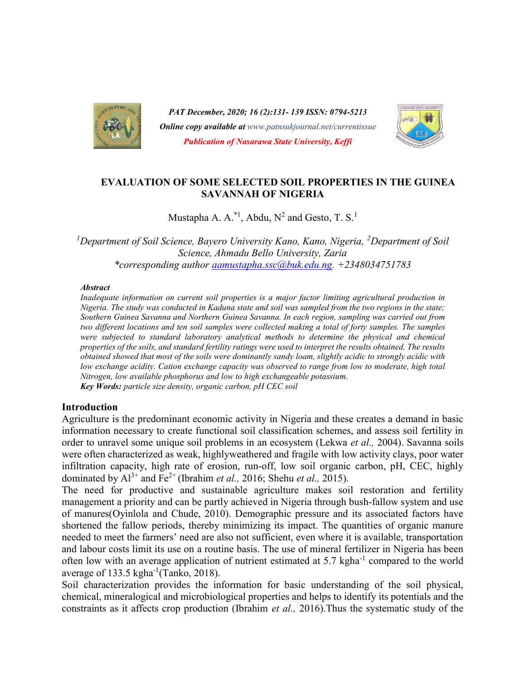

PAT December, 2020; 16 (2):131- 139 ISSN: 0794-5213 **Online copy available at** www.patnsukjournal.net/currentissue Publication of Nasarawa State University, Keffi



## EVALUATION OF SOME SELECTED SOIL PROPERTIES IN THE GUINEA SAVANNAH OF NIGERIA

Mustapha A. A.<sup>\*1</sup>, Abdu, N<sup>2</sup> and Gesto, T. S.<sup>1</sup>

<sup>1</sup>Department of Soil Science, Bayero University Kano, Kano, Nigeria, <sup>2</sup>Department of Soil Science, Ahmadu Bello University, Zaria \*corresponding author aamustapha.ssc@buk.edu.ng. +2348034751783

#### **Abstract**

Inadequate information on current soil properties is a major factor limiting agricultural production in Nigeria. The study was conducted in Kaduna state and soil was sampled from the two regions in the state; Southern Guinea Savanna and Northern Guinea Savanna. In each region, sampling was carried out from two different locations and ten soil samples were collected making a total of forty samples. The samples were subjected to standard laboratory analytical methods to determine the physical and chemical properties of the soils, and standard fertility ratings were used to interpret the results obtained. The results obtained showed that most of the soils were dominantly sandy loam, slightly acidic to strongly acidic with low exchange acidity. Cation exchange capacity was observed to range from low to moderate, high total Nitrogen, low available phosphorus and low to high exchangeable potassium. Key Words: particle size density, organic carbon, pH CEC soil

#### Introduction

Agriculture is the predominant economic activity in Nigeria and these creates a demand in basic information necessary to create functional soil classification schemes, and assess soil fertility in order to unravel some unique soil problems in an ecosystem (Lekwa et al., 2004). Savanna soils were often characterized as weak, highlyweathered and fragile with low activity clays, poor water infiltration capacity, high rate of erosion, run-off, low soil organic carbon, pH, CEC, highly dominated by  $Al^{3+}$  and  $Fe^{2+}$  (Ibrahim *et al.*, 2016; Shehu *et al.*, 2015).

The need for productive and sustainable agriculture makes soil restoration and fertility management a priority and can be partly achieved in Nigeria through bush-fallow system and use of manures(Oyinlola and Chude, 2010). Demographic pressure and its associated factors have shortened the fallow periods, thereby minimizing its impact. The quantities of organic manure needed to meet the farmers' need are also not sufficient, even where it is available, transportation and labour costs limit its use on a routine basis. The use of mineral fertilizer in Nigeria has been often low with an average application of nutrient estimated at 5.7 kgha<sup>-1</sup> compared to the world average of 133.5 kgha $^{-1}$ (Tanko, 2018).

Soil characterization provides the information for basic understanding of the soil physical, chemical, mineralogical and microbiological properties and helps to identify its potentials and the constraints as it affects crop production (Ibrahim et al., 2016).Thus the systematic study of the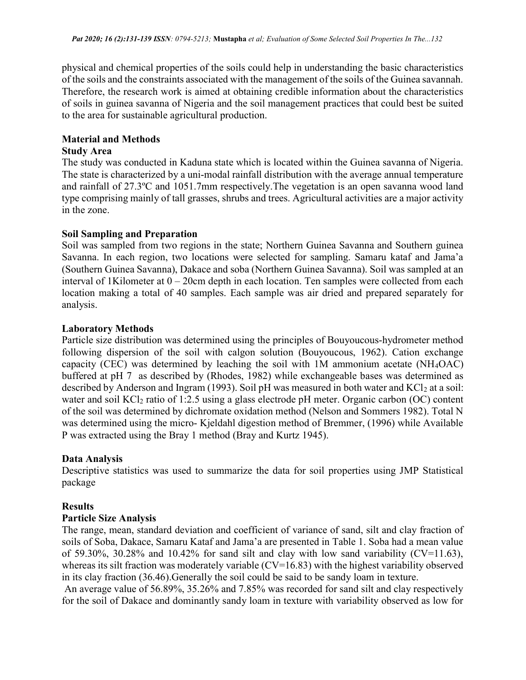physical and chemical properties of the soils could help in understanding the basic characteristics of the soils and the constraints associated with the management of the soils of the Guinea savannah. Therefore, the research work is aimed at obtaining credible information about the characteristics of soils in guinea savanna of Nigeria and the soil management practices that could best be suited to the area for sustainable agricultural production.

## Material and Methods

## Study Area

The study was conducted in Kaduna state which is located within the Guinea savanna of Nigeria. The state is characterized by a uni-modal rainfall distribution with the average annual temperature and rainfall of 27.3ºC and 1051.7mm respectively.The vegetation is an open savanna wood land type comprising mainly of tall grasses, shrubs and trees. Agricultural activities are a major activity in the zone.

## Soil Sampling and Preparation

Soil was sampled from two regions in the state; Northern Guinea Savanna and Southern guinea Savanna. In each region, two locations were selected for sampling. Samaru kataf and Jama'a (Southern Guinea Savanna), Dakace and soba (Northern Guinea Savanna). Soil was sampled at an interval of 1Kilometer at 0 – 20cm depth in each location. Ten samples were collected from each location making a total of 40 samples. Each sample was air dried and prepared separately for analysis.

### Laboratory Methods

Particle size distribution was determined using the principles of Bouyoucous-hydrometer method following dispersion of the soil with calgon solution (Bouyoucous, 1962). Cation exchange capacity (CEC) was determined by leaching the soil with 1M ammonium acetate (NH4OAC) buffered at pH 7 as described by (Rhodes, 1982) while exchangeable bases was determined as described by Anderson and Ingram (1993). Soil pH was measured in both water and  $KCl<sub>2</sub>$  at a soil: water and soil  $KCl<sub>2</sub>$  ratio of 1:2.5 using a glass electrode pH meter. Organic carbon (OC) content of the soil was determined by dichromate oxidation method (Nelson and Sommers 1982). Total N was determined using the micro- Kjeldahl digestion method of Bremmer, (1996) while Available P was extracted using the Bray 1 method (Bray and Kurtz 1945).

## Data Analysis

Descriptive statistics was used to summarize the data for soil properties using JMP Statistical package

### Results

## Particle Size Analysis

The range, mean, standard deviation and coefficient of variance of sand, silt and clay fraction of soils of Soba, Dakace, Samaru Kataf and Jama'a are presented in Table 1. Soba had a mean value of 59.30%, 30.28% and 10.42% for sand silt and clay with low sand variability ( $CV=11.63$ ), whereas its silt fraction was moderately variable  $(CV=16.83)$  with the highest variability observed in its clay fraction (36.46).Generally the soil could be said to be sandy loam in texture.

 An average value of 56.89%, 35.26% and 7.85% was recorded for sand silt and clay respectively for the soil of Dakace and dominantly sandy loam in texture with variability observed as low for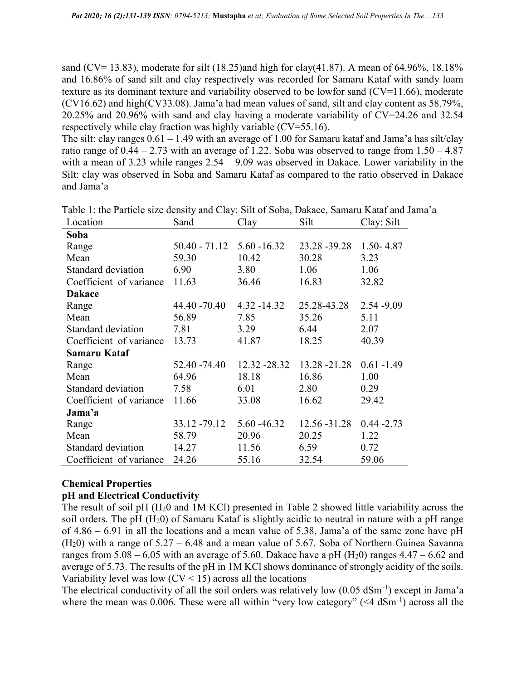sand (CV= 13.83), moderate for silt (18.25)and high for clay(41.87). A mean of 64.96%, 18.18% and 16.86% of sand silt and clay respectively was recorded for Samaru Kataf with sandy loam texture as its dominant texture and variability observed to be lowfor sand (CV=11.66), moderate (CV16.62) and high(CV33.08). Jama'a had mean values of sand, silt and clay content as 58.79%, 20.25% and 20.96% with sand and clay having a moderate variability of CV=24.26 and 32.54 respectively while clay fraction was highly variable (CV=55.16).

The silt: clay ranges  $0.61 - 1.49$  with an average of 1.00 for Samaru kataf and Jama'a has silt/clay ratio range of  $0.44 - 2.73$  with an average of 1.22. Soba was observed to range from  $1.50 - 4.87$ with a mean of 3.23 while ranges  $2.54 - 9.09$  was observed in Dakace. Lower variability in the Silt: clay was observed in Soba and Samaru Kataf as compared to the ratio observed in Dakace and Jama'a

| Location                | Sand                           | Clay           | Silt          | Clay: Silt    |
|-------------------------|--------------------------------|----------------|---------------|---------------|
| Soba                    |                                |                |               |               |
| Range                   | $50.40 - 71.12$ $5.60 - 16.32$ |                | 23.28 - 39.28 | $1.50 - 4.87$ |
| Mean                    | 59.30                          | 10.42          | 30.28         | 3.23          |
| Standard deviation      | 6.90                           | 3.80           | 1.06          | 1.06          |
| Coefficient of variance | 11.63                          | 36.46          | 16.83         | 32.82         |
| <b>Dakace</b>           |                                |                |               |               |
| Range                   | 44.40 -70.40                   | $4.32 - 14.32$ | 25.28-43.28   | $2.54 - 9.09$ |
| Mean                    | 56.89                          | 7.85           | 35.26         | 5.11          |
| Standard deviation      | 7.81                           | 3.29           | 6.44          | 2.07          |
| Coefficient of variance | 13.73                          | 41.87          | 18.25         | 40.39         |
| Samaru Kataf            |                                |                |               |               |
| Range                   | 52.40 -74.40                   | 12.32 - 28.32  | 13.28 - 21.28 | $0.61 - 1.49$ |
| Mean                    | 64.96                          | 18.18          | 16.86         | 1.00          |
| Standard deviation      | 7.58                           | 6.01           | 2.80          | 0.29          |
| Coefficient of variance | 11.66                          | 33.08          | 16.62         | 29.42         |
| Jama'a                  |                                |                |               |               |
| Range                   | 33.12 - 79.12                  | 5.60 - 46.32   | 12.56 - 31.28 | $0.44 - 2.73$ |
| Mean                    | 58.79                          | 20.96          | 20.25         | 1.22          |
| Standard deviation      | 14.27                          | 11.56          | 6.59          | 0.72          |
| Coefficient of variance | 24.26                          | 55.16          | 32.54         | 59.06         |

Table 1: the Particle size density and Clay: Silt of Soba, Dakace, Samaru Kataf and Jama'a

## Chemical Properties

### pH and Electrical Conductivity

The result of soil pH (H20 and 1M KCl) presented in Table 2 showed little variability across the soil orders. The pH  $(H<sub>2</sub>0)$  of Samaru Kataf is slightly acidic to neutral in nature with a pH range of 4.86 – 6.91 in all the locations and a mean value of 5.38, Jama'a of the same zone have pH  $(H<sub>2</sub>0)$  with a range of 5.27 – 6.48 and a mean value of 5.67. Soba of Northern Guinea Savanna ranges from  $5.08 - 6.05$  with an average of 5.60. Dakace have a pH (H<sub>2</sub>0) ranges  $4.47 - 6.62$  and average of 5.73. The results of the pH in 1M KCl shows dominance of strongly acidity of the soils. Variability level was low  $(CV < 15)$  across all the locations

The electrical conductivity of all the soil orders was relatively low  $(0.05 \text{ dSm}^{-1})$  except in Jama'a where the mean was 0.006. These were all within "very low category" ( $\leq 4$  dSm<sup>-1</sup>) across all the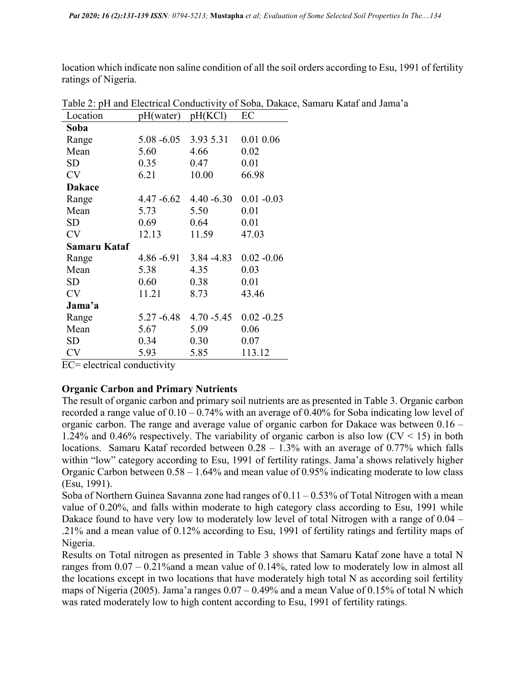location which indicate non saline condition of all the soil orders according to Esu, 1991 of fertility ratings of Nigeria.

| Location      | pH(water)     | pH(KCl)       | EC            |
|---------------|---------------|---------------|---------------|
| Soba          |               |               |               |
| Range         | $5.08 - 6.05$ | 3.93 5.31     | 0.01 0.06     |
| Mean          | 5.60          | 4.66          | 0.02          |
| SD            | 0.35          | 0.47          | 0.01          |
| <b>CV</b>     | 6.21          | 10.00         | 66.98         |
| <b>Dakace</b> |               |               |               |
| Range         | 4.47 -6.62    | $4.40 - 6.30$ | $0.01 - 0.03$ |
| Mean          | 5.73          | 5.50          | 0.01          |
| <b>SD</b>     | 0.69          | 0.64          | 0.01          |
| <b>CV</b>     | 12.13         | 11.59         | 47.03         |
| Samaru Kataf  |               |               |               |
| Range         | $4.86 - 6.91$ | $3.84 - 4.83$ | $0.02 - 0.06$ |
| Mean          | 5.38          | 4.35          | 0.03          |
| SD            | 0.60          | 0.38          | 0.01          |
| <b>CV</b>     | 11.21         | 8.73          | 43.46         |
| Jama'a        |               |               |               |
| Range         | $5.27 - 6.48$ | $4.70 - 5.45$ | $0.02 - 0.25$ |
| Mean          | 5.67          | 5.09          | 0.06          |
| <b>SD</b>     | 0.34          | 0.30          | 0.07          |
| <b>CV</b>     | 5.93          | 5.85          | 113.12        |

Table 2: pH and Electrical Conductivity of Soba, Dakace, Samaru Kataf and Jama'a

EC= electrical conductivity

## Organic Carbon and Primary Nutrients

The result of organic carbon and primary soil nutrients are as presented in Table 3. Organic carbon recorded a range value of  $0.10 - 0.74\%$  with an average of 0.40% for Soba indicating low level of organic carbon. The range and average value of organic carbon for Dakace was between 0.16 – 1.24% and 0.46% respectively. The variability of organic carbon is also low  $(CV < 15)$  in both locations. Samaru Kataf recorded between  $0.28 - 1.3\%$  with an average of 0.77% which falls within "low" category according to Esu, 1991 of fertility ratings. Jama'a shows relatively higher Organic Carbon between 0.58 – 1.64% and mean value of 0.95% indicating moderate to low class (Esu, 1991).

Soba of Northern Guinea Savanna zone had ranges of  $0.11 - 0.53\%$  of Total Nitrogen with a mean value of 0.20%, and falls within moderate to high category class according to Esu, 1991 while Dakace found to have very low to moderately low level of total Nitrogen with a range of 0.04 – .21% and a mean value of 0.12% according to Esu, 1991 of fertility ratings and fertility maps of Nigeria.

Results on Total nitrogen as presented in Table 3 shows that Samaru Kataf zone have a total N ranges from 0.07 – 0.21%and a mean value of 0.14%, rated low to moderately low in almost all the locations except in two locations that have moderately high total N as according soil fertility maps of Nigeria (2005). Jama'a ranges  $0.07 - 0.49\%$  and a mean Value of  $0.15\%$  of total N which was rated moderately low to high content according to Esu, 1991 of fertility ratings.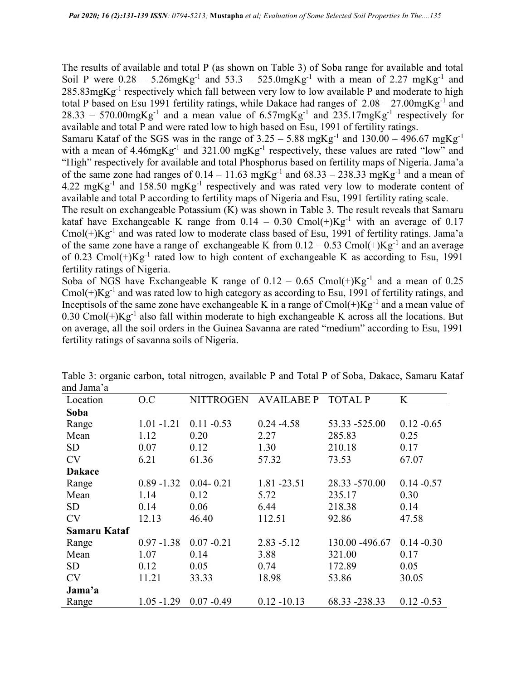The results of available and total P (as shown on Table 3) of Soba range for available and total Soil P were  $0.28 - 5.26$  mgKg<sup>-1</sup> and  $53.3 - 525.0$  mgKg<sup>-1</sup> with a mean of 2.27 mgKg<sup>-1</sup> and  $285.83$ mgKg<sup>-1</sup> respectively which fall between very low to low available P and moderate to high total P based on Esu 1991 fertility ratings, while Dakace had ranges of  $2.08 - 27.00$ mgKg<sup>-1</sup> and  $28.33 - 570.00$ mgKg<sup>-1</sup> and a mean value of  $6.57$ mgKg<sup>-1</sup> and  $235.17$ mgKg<sup>-1</sup> respectively for available and total P and were rated low to high based on Esu, 1991 of fertility ratings.

Samaru Kataf of the SGS was in the range of  $3.25 - 5.88$  mgKg<sup>-1</sup> and  $130.00 - 496.67$  mgKg<sup>-1</sup> with a mean of 4.46mgKg<sup>-1</sup> and 321.00 mgKg<sup>-1</sup> respectively, these values are rated "low" and "High" respectively for available and total Phosphorus based on fertility maps of Nigeria. Jama'a of the same zone had ranges of  $0.14 - 11.63 \text{ mgKg}^{-1}$  and  $68.33 - 238.33 \text{ mgKg}^{-1}$  and a mean of 4.22 mgKg<sup>-1</sup> and 158.50 mgKg<sup>-1</sup> respectively and was rated very low to moderate content of available and total P according to fertility maps of Nigeria and Esu, 1991 fertility rating scale.

The result on exchangeable Potassium (K) was shown in Table 3. The result reveals that Samaru kataf have Exchangeable K range from  $0.14 - 0.30$  Cmol(+)Kg<sup>-1</sup> with an average of 0.17 Cmol( $+$ ) $Kg^{-1}$  and was rated low to moderate class based of Esu, 1991 of fertility ratings. Jama'a of the same zone have a range of exchangeable K from  $0.12 - 0.53$  Cmol(+)Kg<sup>-1</sup> and an average of 0.23 Cmol(+) $Kg^{-1}$  rated low to high content of exchangeable K as according to Esu, 1991 fertility ratings of Nigeria.

Soba of NGS have Exchangeable K range of  $0.12 - 0.65$  Cmol(+)Kg<sup>-1</sup> and a mean of 0.25 Cmol( $+$ )Kg<sup>-1</sup> and was rated low to high category as according to Esu, 1991 of fertility ratings, and Inceptisols of the same zone have exchangeable K in a range of  $Cmol(+)Kg^{-1}$  and a mean value of 0.30 Cmol(+) $Kg^{-1}$  also fall within moderate to high exchangeable K across all the locations. But on average, all the soil orders in the Guinea Savanna are rated "medium" according to Esu, 1991 fertility ratings of savanna soils of Nigeria.

| Location      | O.C           | NITTROGEN     | AVAILABE P     | TOTAL P         | K             |
|---------------|---------------|---------------|----------------|-----------------|---------------|
| Soba          |               |               |                |                 |               |
| Range         | $1.01 - 1.21$ | $0.11 - 0.53$ | $0.24 - 4.58$  | 53.33 -525.00   | $0.12 - 0.65$ |
| Mean          | 1.12          | 0.20          | 2.27           | 285.83          | 0.25          |
| <b>SD</b>     | 0.07          | 0.12          | 1.30           | 210.18          | 0.17          |
| <b>CV</b>     | 6.21          | 61.36         | 57.32          | 73.53           | 67.07         |
| <b>Dakace</b> |               |               |                |                 |               |
| Range         | $0.89 - 1.32$ | $0.04 - 0.21$ | 1.81 - 23.51   | 28.33 -570.00   | $0.14 - 0.57$ |
| Mean          | 1.14          | 0.12          | 5.72           | 235.17          | 0.30          |
| <b>SD</b>     | 0.14          | 0.06          | 6.44           | 218.38          | 0.14          |
| <b>CV</b>     | 12.13         | 46.40         | 112.51         | 92.86           | 47.58         |
| Samaru Kataf  |               |               |                |                 |               |
| Range         | $0.97 - 1.38$ | $0.07 - 0.21$ | $2.83 - 5.12$  | 130.00 - 496.67 | $0.14 - 0.30$ |
| Mean          | 1.07          | 0.14          | 3.88           | 321.00          | 0.17          |
| <b>SD</b>     | 0.12          | 0.05          | 0.74           | 172.89          | 0.05          |
| <b>CV</b>     | 11.21         | 33.33         | 18.98          | 53.86           | 30.05         |
| Jama'a        |               |               |                |                 |               |
| Range         | $1.05 - 1.29$ | $0.07 - 0.49$ | $0.12 - 10.13$ | 68.33 -238.33   | $0.12 - 0.53$ |

Table 3: organic carbon, total nitrogen, available P and Total P of Soba, Dakace, Samaru Kataf and Jama'a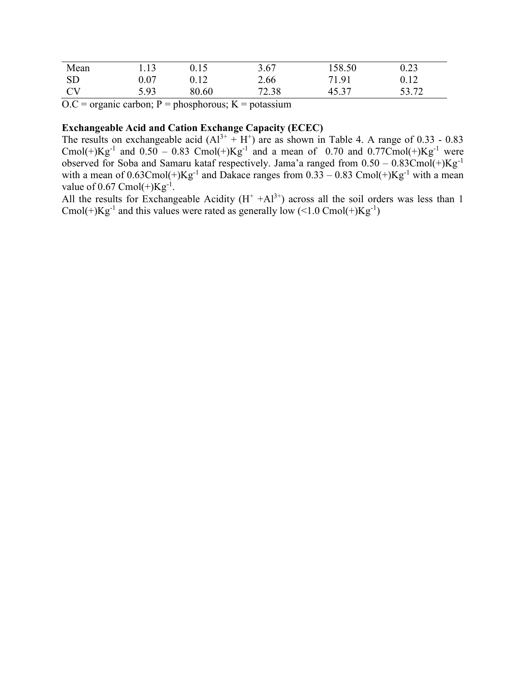| Mean      | 1.13 | 0.15  | 3.67  | 158.50 | 0.23  |
|-----------|------|-------|-------|--------|-------|
| <b>SD</b> | 0.07 |       | 2.66  | 71.91  | 0.12  |
| CV        | 5.93 | 80.60 | 72.38 | 45.37  | 53.72 |

 $O.C =$  organic carbon;  $P =$  phosphorous;  $K =$  potassium

# Exchangeable Acid and Cation Exchange Capacity (ECEC)

The results on exchangeable acid  $(A1^{3+} + H^+)$  are as shown in Table 4. A range of 0.33 - 0.83 Cmol(+) $Kg^{-1}$  and 0.50 – 0.83 Cmol(+) $Kg^{-1}$  and a mean of 0.70 and 0.77Cmol(+) $Kg^{-1}$  were observed for Soba and Samaru kataf respectively. Jama'a ranged from  $0.50 - 0.83$ Cmol $(+)$ Kg<sup>-1</sup> with a mean of  $0.63$ Cmol(+)Kg<sup>-1</sup> and Dakace ranges from  $0.33 - 0.83$  Cmol(+)Kg<sup>-1</sup> with a mean value of 0.67 Cmol $(+)$ Kg<sup>-1</sup>.

All the results for Exchangeable Acidity  $(H^+ + Al^{3+})$  across all the soil orders was less than 1 Cmol(+) $Kg^{-1}$  and this values were rated as generally low (<1.0 Cmol(+) $Kg^{-1}$ )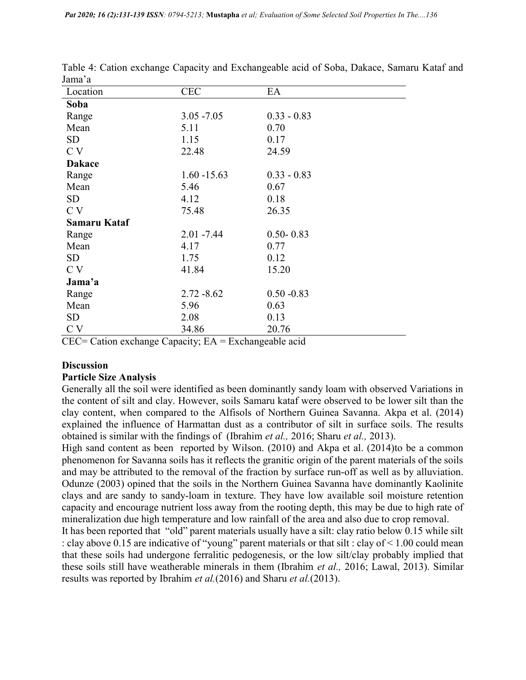| лаппа а       |                |               |
|---------------|----------------|---------------|
| Location      | <b>CEC</b>     | EA            |
| Soba          |                |               |
| Range         | $3.05 - 7.05$  | $0.33 - 0.83$ |
| Mean          | 5.11           | 0.70          |
| <b>SD</b>     | 1.15           | 0.17          |
| C V           | 22.48          | 24.59         |
| <b>Dakace</b> |                |               |
| Range         | $1.60 - 15.63$ | $0.33 - 0.83$ |
| Mean          | 5.46           | 0.67          |
| <b>SD</b>     | 4.12           | 0.18          |
| C V           | 75.48          | 26.35         |
| Samaru Kataf  |                |               |
| Range         | $2.01 - 7.44$  | $0.50 - 0.83$ |
| Mean          | 4.17           | 0.77          |
| SD.           | 1.75           | 0.12          |
| C V           | 41.84          | 15.20         |
| Jama'a        |                |               |
| Range         | $2.72 - 8.62$  | $0.50 - 0.83$ |
| Mean          | 5.96           | 0.63          |
| <b>SD</b>     | 2.08           | 0.13          |
| C V           | 34.86          | 20.76         |
|               |                |               |

Table 4: Cation exchange Capacity and Exchangeable acid of Soba, Dakace, Samaru Kataf and Jama'a

 $CEC =$  Cation exchange Capacity;  $EA = Exchange$  acid

### **Discussion**

#### Particle Size Analysis

Generally all the soil were identified as been dominantly sandy loam with observed Variations in the content of silt and clay. However, soils Samaru kataf were observed to be lower silt than the clay content, when compared to the Alfisols of Northern Guinea Savanna. Akpa et al. (2014) explained the influence of Harmattan dust as a contributor of silt in surface soils. The results obtained is similar with the findings of (Ibrahim et al., 2016; Sharu et al., 2013).

High sand content as been reported by Wilson. (2010) and Akpa et al. (2014)to be a common phenomenon for Savanna soils has it reflects the granitic origin of the parent materials of the soils and may be attributed to the removal of the fraction by surface run-off as well as by alluviation. Odunze (2003) opined that the soils in the Northern Guinea Savanna have dominantly Kaolinite clays and are sandy to sandy-loam in texture. They have low available soil moisture retention capacity and encourage nutrient loss away from the rooting depth, this may be due to high rate of mineralization due high temperature and low rainfall of the area and also due to crop removal.

It has been reported that "old" parent materials usually have a silt: clay ratio below 0.15 while silt : clay above 0.15 are indicative of "young" parent materials or that silt : clay of < 1.00 could mean that these soils had undergone ferralitic pedogenesis, or the low silt/clay probably implied that these soils still have weatherable minerals in them (Ibrahim et al., 2016; Lawal, 2013). Similar results was reported by Ibrahim *et al.*(2016) and Sharu *et al.*(2013).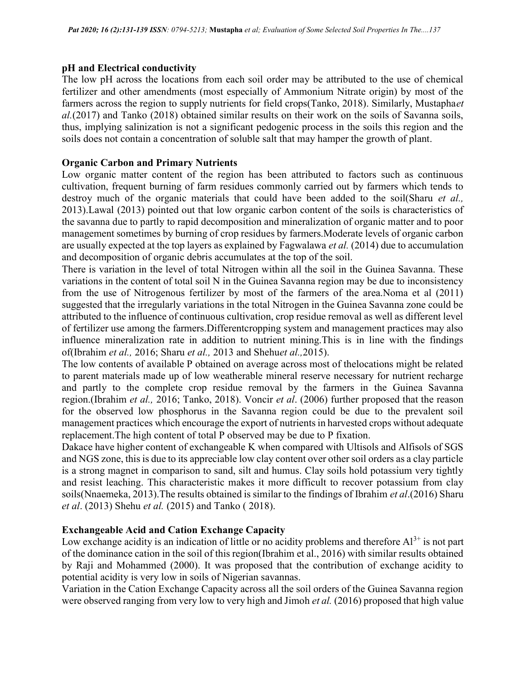## pH and Electrical conductivity

The low pH across the locations from each soil order may be attributed to the use of chemical fertilizer and other amendments (most especially of Ammonium Nitrate origin) by most of the farmers across the region to supply nutrients for field crops(Tanko, 2018). Similarly, Mustaphaet  $al(2017)$  and Tanko (2018) obtained similar results on their work on the soils of Savanna soils, thus, implying salinization is not a significant pedogenic process in the soils this region and the soils does not contain a concentration of soluble salt that may hamper the growth of plant.

## Organic Carbon and Primary Nutrients

Low organic matter content of the region has been attributed to factors such as continuous cultivation, frequent burning of farm residues commonly carried out by farmers which tends to destroy much of the organic materials that could have been added to the soil(Sharu et al., 2013).Lawal (2013) pointed out that low organic carbon content of the soils is characteristics of the savanna due to partly to rapid decomposition and mineralization of organic matter and to poor management sometimes by burning of crop residues by farmers.Moderate levels of organic carbon are usually expected at the top layers as explained by Fagwalawa et al. (2014) due to accumulation and decomposition of organic debris accumulates at the top of the soil.

There is variation in the level of total Nitrogen within all the soil in the Guinea Savanna. These variations in the content of total soil N in the Guinea Savanna region may be due to inconsistency from the use of Nitrogenous fertilizer by most of the farmers of the area.Noma et al (2011) suggested that the irregularly variations in the total Nitrogen in the Guinea Savanna zone could be attributed to the influence of continuous cultivation, crop residue removal as well as different level of fertilizer use among the farmers.Differentcropping system and management practices may also influence mineralization rate in addition to nutrient mining.This is in line with the findings of(Ibrahim et al., 2016; Sharu et al., 2013 and Shehuet al.,2015).

The low contents of available P obtained on average across most of thelocations might be related to parent materials made up of low weatherable mineral reserve necessary for nutrient recharge and partly to the complete crop residue removal by the farmers in the Guinea Savanna region.(Ibrahim et al., 2016; Tanko, 2018). Voncir et al. (2006) further proposed that the reason for the observed low phosphorus in the Savanna region could be due to the prevalent soil management practices which encourage the export of nutrients in harvested crops without adequate replacement.The high content of total P observed may be due to P fixation.

Dakace have higher content of exchangeable K when compared with Ultisols and Alfisols of SGS and NGS zone, this is due to its appreciable low clay content over other soil orders as a clay particle is a strong magnet in comparison to sand, silt and humus. Clay soils hold potassium very tightly and resist leaching. This characteristic makes it more difficult to recover potassium from clay soils(Nnaemeka, 2013).The results obtained is similar to the findings of Ibrahim et al.(2016) Sharu et al. (2013) Shehu et al. (2015) and Tanko ( 2018).

## Exchangeable Acid and Cation Exchange Capacity

Low exchange acidity is an indication of little or no acidity problems and therefore  $Al^{3+}$  is not part of the dominance cation in the soil of this region(Ibrahim et al., 2016) with similar results obtained by Raji and Mohammed (2000). It was proposed that the contribution of exchange acidity to potential acidity is very low in soils of Nigerian savannas.

Variation in the Cation Exchange Capacity across all the soil orders of the Guinea Savanna region were observed ranging from very low to very high and Jimoh *et al.* (2016) proposed that high value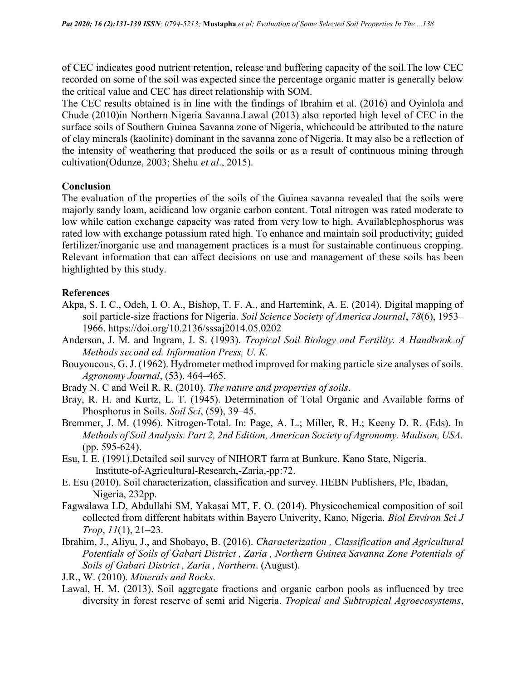of CEC indicates good nutrient retention, release and buffering capacity of the soil.The low CEC recorded on some of the soil was expected since the percentage organic matter is generally below the critical value and CEC has direct relationship with SOM.

The CEC results obtained is in line with the findings of Ibrahim et al. (2016) and Oyinlola and Chude (2010)in Northern Nigeria Savanna.Lawal (2013) also reported high level of CEC in the surface soils of Southern Guinea Savanna zone of Nigeria, whichcould be attributed to the nature of clay minerals (kaolinite) dominant in the savanna zone of Nigeria. It may also be a reflection of the intensity of weathering that produced the soils or as a result of continuous mining through cultivation(Odunze, 2003; Shehu et al., 2015).

#### Conclusion

The evaluation of the properties of the soils of the Guinea savanna revealed that the soils were majorly sandy loam, acidicand low organic carbon content. Total nitrogen was rated moderate to low while cation exchange capacity was rated from very low to high. Availablephosphorus was rated low with exchange potassium rated high. To enhance and maintain soil productivity; guided fertilizer/inorganic use and management practices is a must for sustainable continuous cropping. Relevant information that can affect decisions on use and management of these soils has been highlighted by this study.

#### References

- Akpa, S. I. C., Odeh, I. O. A., Bishop, T. F. A., and Hartemink, A. E. (2014). Digital mapping of soil particle-size fractions for Nigeria. Soil Science Society of America Journal, 78(6), 1953– 1966. https://doi.org/10.2136/sssaj2014.05.0202
- Anderson, J. M. and Ingram, J. S. (1993). Tropical Soil Biology and Fertility. A Handbook of Methods second ed. Information Press, U. K.
- Bouyoucous, G. J. (1962). Hydrometer method improved for making particle size analyses of soils. Agronomy Journal, (53), 464–465.
- Brady N. C and Weil R. R. (2010). The nature and properties of soils.
- Bray, R. H. and Kurtz, L. T. (1945). Determination of Total Organic and Available forms of Phosphorus in Soils. Soil Sci, (59), 39–45.
- Bremmer, J. M. (1996). Nitrogen-Total. In: Page, A. L.; Miller, R. H.; Keeny D. R. (Eds). In Methods of Soil Analysis. Part 2, 2nd Edition, American Society of Agronomy. Madison, USA. (pp. 595-624).
- Esu, I. E. (1991).Detailed soil survey of NIHORT farm at Bunkure, Kano State, Nigeria. Institute-of-Agricultural-Research,-Zaria,-pp:72.
- E. Esu (2010). Soil characterization, classification and survey. HEBN Publishers, Plc, Ibadan, Nigeria, 232pp.
- Fagwalawa LD, Abdullahi SM, Yakasai MT, F. O. (2014). Physicochemical composition of soil collected from different habitats within Bayero Univerity, Kano, Nigeria. Biol Environ Sci J Trop, 11(1), 21–23.
- Ibrahim, J., Aliyu, J., and Shobayo, B. (2016). Characterization , Classification and Agricultural Potentials of Soils of Gabari District , Zaria , Northern Guinea Savanna Zone Potentials of Soils of Gabari District , Zaria , Northern. (August).
- J.R., W. (2010). Minerals and Rocks.
- Lawal, H. M. (2013). Soil aggregate fractions and organic carbon pools as influenced by tree diversity in forest reserve of semi arid Nigeria. Tropical and Subtropical Agroecosystems,